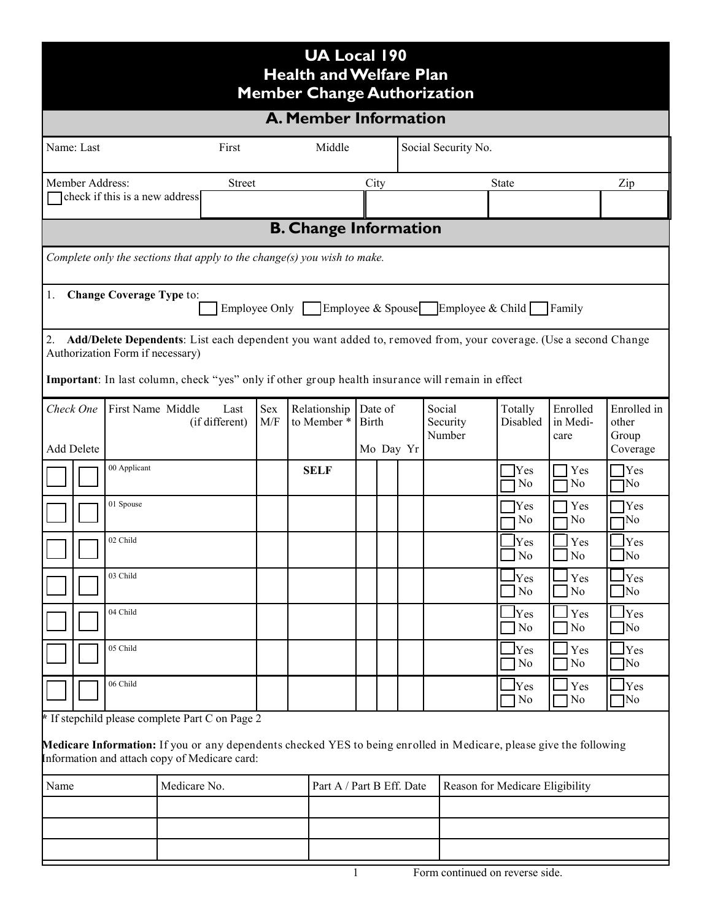| <b>UA Local 190</b><br><b>Health and Welfare Plan</b><br><b>Member Change Authorization</b>                                                                          |                                |                        |               |                             |                         |      |                     |                                 |                    |                                    |                       |                                               |  |
|----------------------------------------------------------------------------------------------------------------------------------------------------------------------|--------------------------------|------------------------|---------------|-----------------------------|-------------------------|------|---------------------|---------------------------------|--------------------|------------------------------------|-----------------------|-----------------------------------------------|--|
| <b>A. Member Information</b>                                                                                                                                         |                                |                        |               |                             |                         |      |                     |                                 |                    |                                    |                       |                                               |  |
| Name: Last<br>First                                                                                                                                                  |                                |                        |               | Middle                      |                         |      | Social Security No. |                                 |                    |                                    |                       |                                               |  |
| Member Address:                                                                                                                                                      | check if this is a new address |                        | <b>Street</b> |                             |                         | City |                     |                                 |                    | <b>State</b>                       |                       | Zip                                           |  |
|                                                                                                                                                                      |                                |                        |               |                             |                         |      |                     |                                 |                    |                                    |                       |                                               |  |
| <b>B. Change Information</b>                                                                                                                                         |                                |                        |               |                             |                         |      |                     |                                 |                    |                                    |                       |                                               |  |
| Complete only the sections that apply to the change(s) you wish to make.                                                                                             |                                |                        |               |                             |                         |      |                     |                                 |                    |                                    |                       |                                               |  |
| <b>Change Coverage Type to:</b><br>1.<br>Employee Only Employee & Spouse Employee & Child Family                                                                     |                                |                        |               |                             |                         |      |                     |                                 |                    |                                    |                       |                                               |  |
| 2.<br>Add/Delete Dependents: List each dependent you want added to, removed from, your coverage. (Use a second Change                                                |                                |                        |               |                             |                         |      |                     |                                 |                    |                                    |                       |                                               |  |
| Authorization Form if necessary)                                                                                                                                     |                                |                        |               |                             |                         |      |                     |                                 |                    |                                    |                       |                                               |  |
| Important: In last column, check "yes" only if other group health insurance will remain in effect                                                                    |                                |                        |               |                             |                         |      |                     |                                 |                    |                                    |                       |                                               |  |
| Check One                                                                                                                                                            | First Name Middle              | Last<br>(if different) | Sex<br>M/F    | Relationship<br>to Member * | Date of<br><b>Birth</b> |      |                     |                                 | Social<br>Security | Totally<br>Disabled                | Enrolled<br>in Medi-  | Enrolled in<br>other                          |  |
| <b>Add Delete</b>                                                                                                                                                    |                                |                        |               | Mo Day Yr                   |                         |      | Number              |                                 |                    |                                    | care                  | Group<br>Coverage                             |  |
|                                                                                                                                                                      | 00 Applicant                   |                        |               | <b>SELF</b>                 |                         |      |                     |                                 |                    | Yes<br>N <sub>0</sub>              | Yes<br>No             | $\bigcap$ Yes<br>1No                          |  |
|                                                                                                                                                                      | 01 Spouse                      |                        |               |                             |                         |      |                     |                                 |                    | Yes<br>No                          | Yes<br>N <sub>0</sub> | Yes<br>1No                                    |  |
|                                                                                                                                                                      | 02 Child                       |                        |               |                             |                         |      |                     |                                 |                    | Yes                                | Yes                   | Yes                                           |  |
|                                                                                                                                                                      | 03 Child                       |                        |               |                             |                         |      |                     |                                 |                    | N <sub>0</sub><br>ly <sub>es</sub> | N <sub>o</sub><br>Yes | No<br>$\mathbf{\square}_{\operatorname{Yes}}$ |  |
|                                                                                                                                                                      |                                |                        |               |                             |                         |      |                     |                                 |                    | N <sub>0</sub>                     | N <sub>0</sub>        | $\Box$ No                                     |  |
|                                                                                                                                                                      | 04 Child                       |                        |               |                             |                         |      |                     |                                 |                    | lYes<br>$\n  7$ No                 | Yes<br>$\rm No$       | $_{\rm Yes}$<br>$\neg$ No                     |  |
|                                                                                                                                                                      | 05 Child                       |                        |               |                             |                         |      |                     |                                 |                    | <b>Yes</b><br>N <sub>0</sub>       | Yes<br>No             | <b>Yes</b><br>$\neg$ No                       |  |
|                                                                                                                                                                      | 06 Child                       |                        |               |                             |                         |      |                     |                                 |                    | <b>Yes</b><br>N <sub>0</sub>       | Yes<br>N <sub>0</sub> | $_{\rm Yes}$<br>$\neg$ No                     |  |
| * If stepchild please complete Part C on Page 2                                                                                                                      |                                |                        |               |                             |                         |      |                     |                                 |                    |                                    |                       |                                               |  |
| Medicare Information: If you or any dependents checked YES to being enrolled in Medicare, please give the following<br>Information and attach copy of Medicare card: |                                |                        |               |                             |                         |      |                     |                                 |                    |                                    |                       |                                               |  |
| Name                                                                                                                                                                 |                                | Medicare No.           |               | Part A / Part B Eff. Date   |                         |      |                     | Reason for Medicare Eligibility |                    |                                    |                       |                                               |  |
|                                                                                                                                                                      |                                |                        |               |                             |                         |      |                     |                                 |                    |                                    |                       |                                               |  |
|                                                                                                                                                                      |                                |                        |               |                             |                         |      |                     |                                 |                    |                                    |                       |                                               |  |
|                                                                                                                                                                      |                                |                        |               |                             |                         |      |                     |                                 |                    |                                    |                       |                                               |  |

1